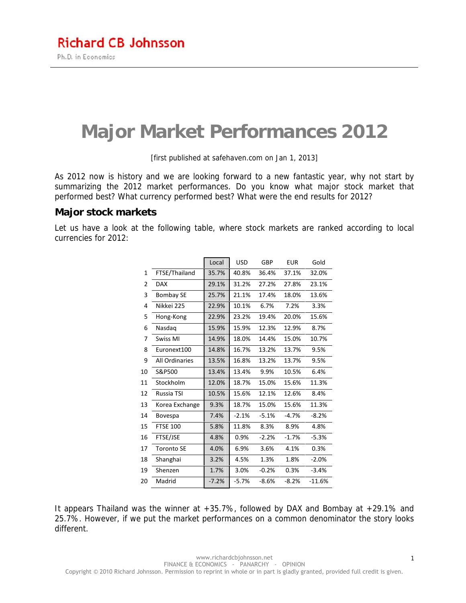# **Major Market Performances 2012**

[first published at safehaven.com on Jan 1, 2013]

As 2012 now is history and we are looking forward to a new fantastic year, why not start by summarizing the 2012 market performances. Do you know what major stock market that performed best? What currency performed best? What were the end results for 2012?

### **Major stock markets**

Let us have a look at the following table, where stock markets are ranked according to local currencies for 2012:

|    |                   | Local   | <b>USD</b> | GBP            | <b>EUR</b> | Gold     |
|----|-------------------|---------|------------|----------------|------------|----------|
| 1  | FTSE/Thailand     | 35.7%   | 40.8%      | 36.4%          | 37.1%      | 32.0%    |
| 2  | <b>DAX</b>        | 29.1%   | 31.2%      | 27.2%          | 27.8%      | 23.1%    |
| 3  | <b>Bombay SE</b>  | 25.7%   | 21.1%      | 17.4%          | 18.0%      | 13.6%    |
| 4  | Nikkei 225        | 22.9%   | 10.1%      | 6.7%           | 7.2%       | 3.3%     |
| 5  | Hong-Kong         | 22.9%   | 23.2%      | 19.4%          | 20.0%      | 15.6%    |
| 6  | Nasdag            | 15.9%   | 15.9%      | 12.3%          | 12.9%      | 8.7%     |
| 7  | Swiss MI          | 14.9%   | 18.0%      | 14.4%          | 15.0%      | 10.7%    |
| 8  | Euronext100       | 14.8%   | 16.7%      | 13.2%          | 13.7%      | 9.5%     |
| 9  | All Ordinaries    | 13.5%   | 16.8%      | 13.2%          | 13.7%      | 9.5%     |
| 10 | S&P500            | 13.4%   | 13.4%      | 9.9%           | 10.5%      | 6.4%     |
| 11 | Stockholm         | 12.0%   | 18.7%      | 15.0%          | 15.6%      | 11.3%    |
| 12 | Russia TSI        | 10.5%   | 15.6%      | 12.1%<br>12.6% |            | 8.4%     |
| 13 | Korea Exchange    | 9.3%    | 18.7%      | 15.0%          | 15.6%      | 11.3%    |
| 14 | Bovespa           | 7.4%    | $-2.1%$    | $-5.1%$        | $-4.7%$    | $-8.2%$  |
| 15 | <b>FTSE 100</b>   | 5.8%    | 11.8%      | 8.3%           | 8.9%       | 4.8%     |
| 16 | FTSE/JSE          | 4.8%    | 0.9%       | $-2.2%$        | $-1.7%$    | $-5.3%$  |
| 17 | <b>Toronto SE</b> | 4.0%    | 6.9%       | 3.6%           | 4.1%       | 0.3%     |
| 18 | Shanghai          | 3.2%    | 4.5%       | 1.3%           | 1.8%       | $-2.0%$  |
| 19 | Shenzen           | 1.7%    | 3.0%       | $-0.2%$        | 0.3%       | $-3.4%$  |
| 20 | Madrid            | $-7.2%$ | $-5.7%$    | $-8.6%$        | $-8.2%$    | $-11.6%$ |

It appears Thailand was the winner at +35.7%, followed by DAX and Bombay at +29.1% and 25.7%. However, if we put the market performances on a common denominator the story looks different.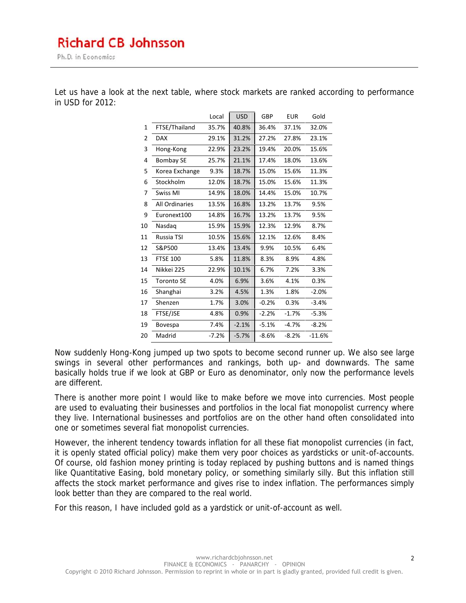Ph.D. in Economics

|    |                   | Local   | <b>USD</b> | GBP                   | <b>EUR</b> | Gold     |
|----|-------------------|---------|------------|-----------------------|------------|----------|
| 1  | FTSE/Thailand     | 35.7%   | 40.8%      | 36.4%<br>37.1%        |            | 32.0%    |
| 2  | <b>DAX</b>        | 29.1%   | 31.2%      | 27.2%<br>27.8%        |            | 23.1%    |
| 3  | Hong-Kong         | 22.9%   | 23.2%      | 19.4%                 | 20.0%      | 15.6%    |
| 4  | <b>Bombay SE</b>  | 25.7%   | 21.1%      | 18.0%<br>17.4%        |            | 13.6%    |
| 5  | Korea Exchange    | 9.3%    | 18.7%      | 15.0%                 | 15.6%      | 11.3%    |
| 6  | Stockholm         | 12.0%   | 18.7%      | 15.0%                 | 15.6%      | 11.3%    |
| 7  | Swiss MI          | 14.9%   | 18.0%      | 14.4%                 | 15.0%      | 10.7%    |
| 8  | All Ordinaries    | 13.5%   | 16.8%      | 13.2%                 | 13.7%      | 9.5%     |
| 9  | Euronext100       | 14.8%   | 16.7%      | 13.2%                 | 13.7%      | 9.5%     |
| 10 | Nasdag            | 15.9%   | 15.9%      | 12.3%                 | 12.9%      | 8.7%     |
| 11 | Russia TSI        | 10.5%   | 15.6%      | 12.1%                 | 12.6%      | 8.4%     |
| 12 | S&P500            | 13.4%   | 13.4%      | 9.9%<br>10.5%<br>6.4% |            |          |
| 13 | <b>FTSE 100</b>   | 5.8%    | 11.8%      | 8.3%<br>8.9%<br>4.8%  |            |          |
| 14 | Nikkei 225        | 22.9%   | 10.1%      | 6.7%                  | 7.2%       | 3.3%     |
| 15 | <b>Toronto SE</b> | 4.0%    | 6.9%       | 3.6%                  | 4.1%       | 0.3%     |
| 16 | Shanghai          | 3.2%    | 4.5%       | 1.3%                  | 1.8%       | $-2.0%$  |
| 17 | Shenzen           | 1.7%    | 3.0%       | $-0.2%$               | 0.3%       | $-3.4%$  |
| 18 | FTSE/JSE          | 4.8%    | 0.9%       | $-2.2%$               | $-1.7%$    | $-5.3%$  |
| 19 | Bovespa           | 7.4%    | $-2.1%$    | $-5.1%$               | $-4.7%$    | $-8.2%$  |
| 20 | Madrid            | $-7.2%$ | $-5.7%$    | $-8.6%$               | $-8.2%$    | $-11.6%$ |

Let us have a look at the next table, where stock markets are ranked according to performance in USD for 2012:

Now suddenly Hong-Kong jumped up two spots to become second runner up. We also see large swings in several other performances and rankings, both up- and downwards. The same basically holds true if we look at GBP or Euro as denominator, only now the performance levels are different.

There is another more point I would like to make before we move into currencies. Most people are used to evaluating their businesses and portfolios in the local fiat monopolist currency where they live. International businesses and portfolios are on the other hand often consolidated into one or sometimes several fiat monopolist currencies.

However, the inherent tendency towards inflation for all these fiat monopolist currencies (in fact, it is openly stated official policy) make them very poor choices as yardsticks or unit-of-accounts. Of course, old fashion money printing is today replaced by pushing buttons and is named things like Quantitative Easing, bold monetary policy, or something similarly silly. But this inflation still affects the stock market performance and gives rise to index inflation. The performances simply look better than they are compared to the real world.

For this reason, I have included gold as a yardstick or unit-of-account as well.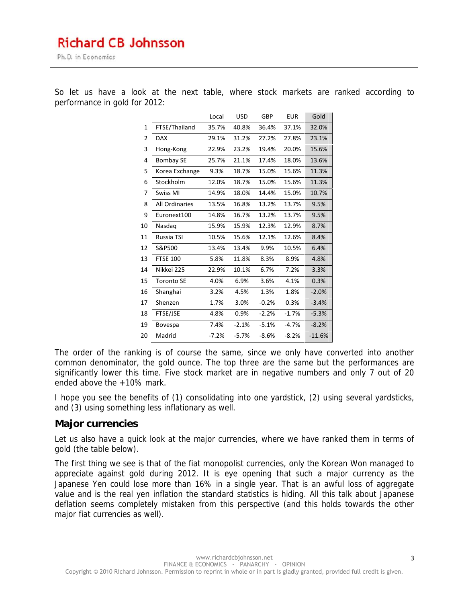## **Richard CB Johnsson**

Ph.D. in Economics

So let us have a look at the next table, where stock markets are ranked according to performance in gold for 2012:

|    |                   | Local   | <b>USD</b> | GBP     | <b>EUR</b> | Gold     |
|----|-------------------|---------|------------|---------|------------|----------|
| 1  | FTSE/Thailand     | 35.7%   | 40.8%      | 36.4%   | 37.1%      | 32.0%    |
| 2  | <b>DAX</b>        | 29.1%   | 31.2%      | 27.2%   | 27.8%      | 23.1%    |
| 3  | Hong-Kong         | 22.9%   | 23.2%      | 19.4%   | 20.0%      | 15.6%    |
| 4  | <b>Bombay SE</b>  | 25.7%   | 21.1%      | 17.4%   | 18.0%      | 13.6%    |
| 5  | Korea Exchange    | 9.3%    | 18.7%      | 15.0%   | 15.6%      | 11.3%    |
| 6  | Stockholm         | 12.0%   | 18.7%      | 15.0%   | 15.6%      | 11.3%    |
| 7  | Swiss MI          | 14.9%   | 18.0%      | 14.4%   | 15.0%      | 10.7%    |
| 8  | All Ordinaries    | 13.5%   | 16.8%      | 13.2%   | 13.7%      | 9.5%     |
| 9  | Euronext100       | 14.8%   | 16.7%      | 13.2%   | 13.7%      | 9.5%     |
| 10 | Nasdag            | 15.9%   | 15.9%      | 12.3%   | 12.9%      | 8.7%     |
| 11 | Russia TSI        | 10.5%   | 15.6%      | 12.1%   | 12.6%      | 8.4%     |
| 12 | S&P500            | 13.4%   | 13.4%      | 9.9%    | 10.5%      | 6.4%     |
| 13 | <b>FTSE 100</b>   | 5.8%    | 11.8%      | 8.3%    | 8.9%       | 4.8%     |
| 14 | Nikkei 225        | 22.9%   | 10.1%      | 6.7%    | 7.2%       | 3.3%     |
| 15 | <b>Toronto SE</b> | 4.0%    | 6.9%       | 3.6%    | 4.1%       | 0.3%     |
| 16 | Shanghai          | 3.2%    | 4.5%       | 1.3%    | 1.8%       | $-2.0%$  |
| 17 | Shenzen           | 1.7%    | 3.0%       | $-0.2%$ | 0.3%       | $-3.4%$  |
| 18 | FTSE/JSE          | 4.8%    | 0.9%       | $-2.2%$ | $-1.7%$    | $-5.3%$  |
| 19 | Bovespa           | 7.4%    | $-2.1%$    | $-5.1%$ | -4.7%      | $-8.2%$  |
| 20 | Madrid            | $-7.2%$ | $-5.7%$    | $-8.6%$ | $-8.2%$    | $-11.6%$ |
|    |                   |         |            |         |            |          |

The order of the ranking is of course the same, since we only have converted into another common denominator, the gold ounce. The top three are the same but the performances are significantly lower this time. Five stock market are in negative numbers and only 7 out of 20 ended above the +10% mark.

I hope you see the benefits of (1) consolidating into one yardstick, (2) using several yardsticks, and (3) using something less inflationary as well.

### **Major currencies**

Let us also have a quick look at the major currencies, where we have ranked them in terms of gold (the table below).

The first thing we see is that of the fiat monopolist currencies, only the Korean Won managed to appreciate against gold during 2012. It is eye opening that such a major currency as the Japanese Yen could lose more than 16% in a single year. That is an awful loss of aggregate value and is the real yen inflation the standard statistics is hiding. All this talk about Japanese deflation seems completely mistaken from this perspective (and this holds towards the other major fiat currencies as well).